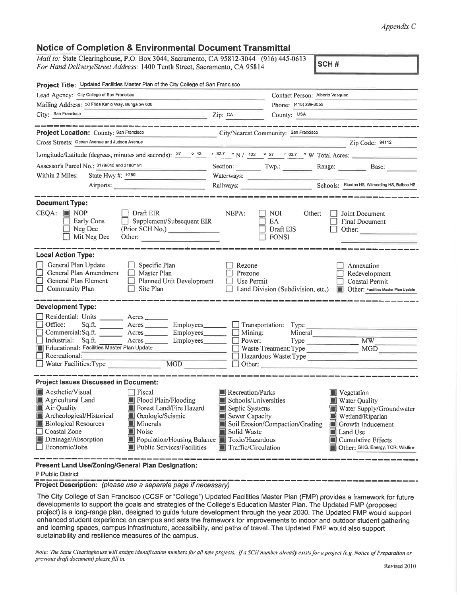## *Appendix C*

## **Notice of Completion & Environmental Document Transmittal**

*Mail to:* State Clearinghouse, P.0. Box 3044, Sacramento, CA 95812-3044 (916) 445-0613 *For Hand Delivery/Street Address:* 1400 Tenth Street, Sacramento, CA 95814

SCH#

| Project Title: Updated Facilities Master Plan of the City College of San Francisco                                                                                                                                                                                                                                                                                                                                                                                                                                                                                                                                    |                                                                                                                                                                                            |  |  |
|-----------------------------------------------------------------------------------------------------------------------------------------------------------------------------------------------------------------------------------------------------------------------------------------------------------------------------------------------------------------------------------------------------------------------------------------------------------------------------------------------------------------------------------------------------------------------------------------------------------------------|--------------------------------------------------------------------------------------------------------------------------------------------------------------------------------------------|--|--|
| Lead Agency: City College of San Francisco                                                                                                                                                                                                                                                                                                                                                                                                                                                                                                                                                                            | Contact Person: Alberto Vasquez                                                                                                                                                            |  |  |
| Mailing Address: 50 Frida Kahlo Way, Bungalow 606                                                                                                                                                                                                                                                                                                                                                                                                                                                                                                                                                                     | Phone: (415) 239-3055                                                                                                                                                                      |  |  |
| City: San Francisco<br>$\overline{2ip}$ : $\overline{2ip}$ : $\overline{c}$ A                                                                                                                                                                                                                                                                                                                                                                                                                                                                                                                                         | County: USA                                                                                                                                                                                |  |  |
| __________                                                                                                                                                                                                                                                                                                                                                                                                                                                                                                                                                                                                            |                                                                                                                                                                                            |  |  |
| Project Location: County: San Francisco                                                                                                                                                                                                                                                                                                                                                                                                                                                                                                                                                                               | City/Nearest Community: San Francisco                                                                                                                                                      |  |  |
| Cross Streets: Ocean Avenue and Judson Avenue                                                                                                                                                                                                                                                                                                                                                                                                                                                                                                                                                                         | Zip Code: 94112                                                                                                                                                                            |  |  |
|                                                                                                                                                                                                                                                                                                                                                                                                                                                                                                                                                                                                                       | Longitude/Latitude (degrees, minutes and seconds): $\frac{37}{2}$ $\frac{643}{43}$ $\frac{32.7}{2}$ $\frac{1}{2}$ N / 122 $\frac{6}{2}$ 27 $\frac{1}{2}$ 03.7 $\frac{1}{2}$ W Total Acres: |  |  |
| Assessor's Parcel No.: 3179/010 and 3180/191                                                                                                                                                                                                                                                                                                                                                                                                                                                                                                                                                                          | Section: Twp.: Range: Base:                                                                                                                                                                |  |  |
| State Hwy #: 1-280<br>Within 2 Miles:<br><u> Lista de la contrada de la c</u>                                                                                                                                                                                                                                                                                                                                                                                                                                                                                                                                         |                                                                                                                                                                                            |  |  |
|                                                                                                                                                                                                                                                                                                                                                                                                                                                                                                                                                                                                                       | Railways: Schools: Election HS, Wilmerding HS, Balboa HS                                                                                                                                   |  |  |
|                                                                                                                                                                                                                                                                                                                                                                                                                                                                                                                                                                                                                       |                                                                                                                                                                                            |  |  |
| <b>Document Type:</b>                                                                                                                                                                                                                                                                                                                                                                                                                                                                                                                                                                                                 |                                                                                                                                                                                            |  |  |
| $CEOA: \blacksquare \text{NOP}$<br>$\Box$ Draft EIR                                                                                                                                                                                                                                                                                                                                                                                                                                                                                                                                                                   | NEPA:<br>NOI.<br>Joint Document<br>Other:                                                                                                                                                  |  |  |
| $\Box$ Supplement/Subsequent EIR<br><b>Early Cons</b>                                                                                                                                                                                                                                                                                                                                                                                                                                                                                                                                                                 | $\Box$ ea<br>□ Final Document                                                                                                                                                              |  |  |
| (Prior SCH No.)<br>$\Box$ Neg Dec                                                                                                                                                                                                                                                                                                                                                                                                                                                                                                                                                                                     | $\Box$ Draft EIS<br>Other:                                                                                                                                                                 |  |  |
| $\Box$ Mit Neg Dec<br>Other:                                                                                                                                                                                                                                                                                                                                                                                                                                                                                                                                                                                          | $\Box$ FONSI                                                                                                                                                                               |  |  |
|                                                                                                                                                                                                                                                                                                                                                                                                                                                                                                                                                                                                                       |                                                                                                                                                                                            |  |  |
| <b>Local Action Type:</b>                                                                                                                                                                                                                                                                                                                                                                                                                                                                                                                                                                                             |                                                                                                                                                                                            |  |  |
| General Plan Update<br>$\Box$ Specific Plan                                                                                                                                                                                                                                                                                                                                                                                                                                                                                                                                                                           | Rezone<br>Annexation                                                                                                                                                                       |  |  |
| $\Box$ General Plan Amendment<br>$\Box$ Master Plan<br>General Plan Element<br>$\Box$ Planned Unit Development                                                                                                                                                                                                                                                                                                                                                                                                                                                                                                        | Prezone<br>Redevelopment<br>$\Box$ Use Permit                                                                                                                                              |  |  |
| Coastal Permit<br>$\Box$ Community Plan<br>$\Box$ Site Plan<br>Land Division (Subdivision, etc.) <b>Depart Other:</b> Facilities Master Plan Update                                                                                                                                                                                                                                                                                                                                                                                                                                                                   |                                                                                                                                                                                            |  |  |
|                                                                                                                                                                                                                                                                                                                                                                                                                                                                                                                                                                                                                       |                                                                                                                                                                                            |  |  |
| <b>Development Type:</b>                                                                                                                                                                                                                                                                                                                                                                                                                                                                                                                                                                                              |                                                                                                                                                                                            |  |  |
| Residential: Units ________ Acres                                                                                                                                                                                                                                                                                                                                                                                                                                                                                                                                                                                     |                                                                                                                                                                                            |  |  |
| $\Box$ Office:<br>$Sq.ft.$ Acres                                                                                                                                                                                                                                                                                                                                                                                                                                                                                                                                                                                      | Employees_________ [ Transportation: Type                                                                                                                                                  |  |  |
| □ Commercial:Sq.ft. Acres ________ Employees ________ □ Mining:                                                                                                                                                                                                                                                                                                                                                                                                                                                                                                                                                       | Mineral                                                                                                                                                                                    |  |  |
| $\Box$ Industrial:<br>Sq.ft.<br>Acres Employees Power:                                                                                                                                                                                                                                                                                                                                                                                                                                                                                                                                                                | Type MW                                                                                                                                                                                    |  |  |
| Educational: Facilities Master Plan Update<br>$\Box$ Recreational:                                                                                                                                                                                                                                                                                                                                                                                                                                                                                                                                                    | Waste Treatment: Type MGD<br>Mazardous Waste: Type                                                                                                                                         |  |  |
| $\begin{tabular}{ c c c } \hline \quad \quad & \quad \quad & \quad \quad \\ \hline \quad \quad & \quad \quad & \quad \quad \\ \hline \quad \quad & \quad \quad & \quad \quad \\ \hline \quad \quad & \quad \quad & \quad \quad \\ \hline \quad \quad & \quad \quad & \quad \quad \\ \hline \quad \quad & \quad \quad & \quad \quad \\ \hline \quad \quad & \quad \quad & \quad \quad \\ \hline \quad \quad & \quad \quad & \quad \quad \\ \hline \quad \quad & \quad \quad & \quad \quad \\ \hline \quad \quad & \quad \quad & \quad \quad \\ \hline \quad \quad & \quad \quad & \quad \quad \\ \hline \quad \quad &$ | $\Box$ Other:                                                                                                                                                                              |  |  |
|                                                                                                                                                                                                                                                                                                                                                                                                                                                                                                                                                                                                                       |                                                                                                                                                                                            |  |  |
| <b>Project Issues Discussed in Document:</b>                                                                                                                                                                                                                                                                                                                                                                                                                                                                                                                                                                          |                                                                                                                                                                                            |  |  |
| Aesthetic/Visual<br>Fiscal                                                                                                                                                                                                                                                                                                                                                                                                                                                                                                                                                                                            | Recreation/Parks<br><b>Vegetation</b>                                                                                                                                                      |  |  |
| $\blacksquare$ Agricultural Land<br>■ Flood Plain/Flooding                                                                                                                                                                                                                                                                                                                                                                                                                                                                                                                                                            | Schools/Universities<br><b>Water Quality</b>                                                                                                                                               |  |  |
| <b>Air Quality</b><br>Forest Land/Fire Hazard                                                                                                                                                                                                                                                                                                                                                                                                                                                                                                                                                                         | Septic Systems<br>Water Supply/Groundwater                                                                                                                                                 |  |  |
| Archeological/Historical<br>Geologic/Seismic                                                                                                                                                                                                                                                                                                                                                                                                                                                                                                                                                                          | Sewer Capacity<br>Wetland/Riparian                                                                                                                                                         |  |  |
| <b>Biological Resources</b><br>$\blacksquare$ Minerals                                                                                                                                                                                                                                                                                                                                                                                                                                                                                                                                                                | Soil Erosion/Compaction/Grading<br>$\blacksquare$ Growth Inducement                                                                                                                        |  |  |
| Coastal Zone<br>$\blacksquare$ Noise                                                                                                                                                                                                                                                                                                                                                                                                                                                                                                                                                                                  | Solid Waste<br>Land Use                                                                                                                                                                    |  |  |
| Drainage/Absorption<br>Population/Housing Balance Toxic/Hazardous                                                                                                                                                                                                                                                                                                                                                                                                                                                                                                                                                     | $\blacksquare$ Cumulative Effects                                                                                                                                                          |  |  |
| $\Box$ Economic/Jobs<br><b>Public Services/Facilities</b>                                                                                                                                                                                                                                                                                                                                                                                                                                                                                                                                                             | Traffic/Circulation<br>Other: GHG, Energy, TCR, Wildfire                                                                                                                                   |  |  |
|                                                                                                                                                                                                                                                                                                                                                                                                                                                                                                                                                                                                                       |                                                                                                                                                                                            |  |  |

**Present Land Use/Zoning/General Plan Designation:**

P Public District

**Project Description:** *(please use a separate page if necessary)*

The City College of San Francisco (CCSF or "College") Updated Facilities Master Plan (FMP) provides a framework for future developments to support the goals and strategies of the College's Education Master Plan. The Updated FMP (proposed project) is a long-range plan, designed to guide future development through the year 2030. The Updated FMP would support enhanced student experience on campus and sets the framework for improvements to indoor and outdoor student gathering and learning spaces, campus infrastructure, accessibility, and paths of travel. The Updated FMP would also support sustainability and resilience measures of the campus.

*Note: The State Clearinghouse will assign identification numbers for all new projects. If a SCH number already exists for a project (e.g. Notice of Preparation or previous draft document) please fill in.*